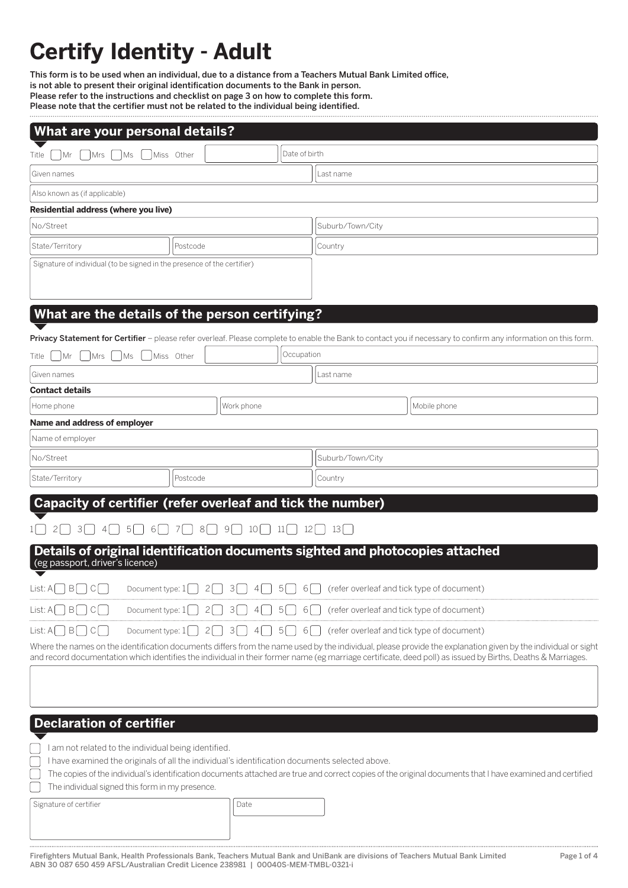# **Certify Identity - Adult**

This form is to be used when an individual, due to a distance from a Teachers Mutual Bank Limited office, is not able to present their original identification documents to the Bank in person. Please refer to the instructions and checklist on page 3 on how to complete this form. Please note that the certifier must not be related to the individual being identified. 

| What are your personal details?                                                                                                                                                                                          |                                    |            |                                                |                                                                                                                                                           |  |
|--------------------------------------------------------------------------------------------------------------------------------------------------------------------------------------------------------------------------|------------------------------------|------------|------------------------------------------------|-----------------------------------------------------------------------------------------------------------------------------------------------------------|--|
| Date of birth<br>Miss Other<br>Mr<br>Mrs   Ms<br>Title                                                                                                                                                                   |                                    |            |                                                |                                                                                                                                                           |  |
| Given names                                                                                                                                                                                                              |                                    |            | Last name                                      |                                                                                                                                                           |  |
| Also known as (if applicable)                                                                                                                                                                                            |                                    |            |                                                |                                                                                                                                                           |  |
| Residential address (where you live)                                                                                                                                                                                     |                                    |            |                                                |                                                                                                                                                           |  |
| No/Street                                                                                                                                                                                                                |                                    |            | Suburb/Town/City                               |                                                                                                                                                           |  |
| State/Territory<br>Postcode                                                                                                                                                                                              |                                    |            | Country                                        |                                                                                                                                                           |  |
| Signature of individual (to be signed in the presence of the certifier)                                                                                                                                                  |                                    |            |                                                |                                                                                                                                                           |  |
|                                                                                                                                                                                                                          |                                    |            |                                                |                                                                                                                                                           |  |
| What are the details of the person certifying?                                                                                                                                                                           |                                    |            |                                                |                                                                                                                                                           |  |
| Privacy Statement for Certifier - please refer overleaf. Please complete to enable the Bank to contact you if necessary to confirm any information on this form.                                                         |                                    |            |                                                |                                                                                                                                                           |  |
| Miss Other<br>Mrs   Ms<br>Mr<br>Title                                                                                                                                                                                    |                                    | Occupation |                                                |                                                                                                                                                           |  |
| Given names                                                                                                                                                                                                              |                                    |            | Last name                                      |                                                                                                                                                           |  |
| <b>Contact details</b>                                                                                                                                                                                                   |                                    |            |                                                |                                                                                                                                                           |  |
| Home phone                                                                                                                                                                                                               | Work phone                         |            |                                                | Mobile phone                                                                                                                                              |  |
| Name and address of employer                                                                                                                                                                                             |                                    |            |                                                |                                                                                                                                                           |  |
| Name of employer                                                                                                                                                                                                         |                                    |            |                                                |                                                                                                                                                           |  |
| No/Street                                                                                                                                                                                                                |                                    |            | Suburb/Town/City                               |                                                                                                                                                           |  |
| State/Territory<br>Postcode                                                                                                                                                                                              |                                    |            | Country                                        |                                                                                                                                                           |  |
| Capacity of certifier (refer overleaf and tick the number)                                                                                                                                                               |                                    |            |                                                |                                                                                                                                                           |  |
| $5 \cap 6 \cap 7 \cap$<br> 3 <br> 4                                                                                                                                                                                      | $8 \cap 9 \cap 10 \cap 11 \cap 12$ |            | $\vert$ 13 $\vert$                             |                                                                                                                                                           |  |
| Details of original identification documents sighted and photocopies attached                                                                                                                                            |                                    |            |                                                |                                                                                                                                                           |  |
| (eg passport, driver's licence)                                                                                                                                                                                          |                                    |            |                                                |                                                                                                                                                           |  |
| $List: A \mid \  $<br>B<br>2 <br>Document type: $1 \Box$                                                                                                                                                                 | 5<br> 3 <br>4                      | $6$        | (refer overleaf and tick type of document)     |                                                                                                                                                           |  |
| List: A<br>$B \mid \cdot \mid$<br>C<br>Document type: 1<br>2                                                                                                                                                             | 3<br>5 <sup>2</sup><br>4           | 6(         | (refer overleaf and tick type of document)     |                                                                                                                                                           |  |
| $List:A$ $ B $ $ C $<br>Document type: $1$  <br>$2$                                                                                                                                                                      | $3[$ $] 4[$ $] 5[$ $]$             |            | 6   crefer overleaf and tick type of document) |                                                                                                                                                           |  |
| Where the names on the identification documents differs from the name used by the individual, please provide the explanation given by the individual or sight                                                            |                                    |            |                                                |                                                                                                                                                           |  |
| and record documentation which identifies the individual in their former name (eg marriage certificate, deed poll) as issued by Births, Deaths & Marriages.                                                              |                                    |            |                                                |                                                                                                                                                           |  |
|                                                                                                                                                                                                                          |                                    |            |                                                |                                                                                                                                                           |  |
|                                                                                                                                                                                                                          |                                    |            |                                                |                                                                                                                                                           |  |
| <b>Declaration of certifier</b>                                                                                                                                                                                          |                                    |            |                                                |                                                                                                                                                           |  |
|                                                                                                                                                                                                                          |                                    |            |                                                |                                                                                                                                                           |  |
| I am not related to the individual being identified.                                                                                                                                                                     |                                    |            |                                                |                                                                                                                                                           |  |
| I have examined the originals of all the individual's identification documents selected above.                                                                                                                           |                                    |            |                                                | The copies of the individual's identification documents attached are true and correct copies of the original documents that I have examined and certified |  |
| The individual signed this form in my presence.                                                                                                                                                                          |                                    |            |                                                |                                                                                                                                                           |  |
| Signature of certifier                                                                                                                                                                                                   | Date                               |            |                                                |                                                                                                                                                           |  |
|                                                                                                                                                                                                                          |                                    |            |                                                |                                                                                                                                                           |  |
|                                                                                                                                                                                                                          |                                    |            |                                                |                                                                                                                                                           |  |
| Firefighters Mutual Bank, Health Professionals Bank, Teachers Mutual Bank and UniBank are divisions of Teachers Mutual Bank Limited<br>ABN 30 087 650 459 AFSL/Australian Credit Licence 238981   00040S-MEM-TMBL-0321-i |                                    |            |                                                | Page 1 of 4                                                                                                                                               |  |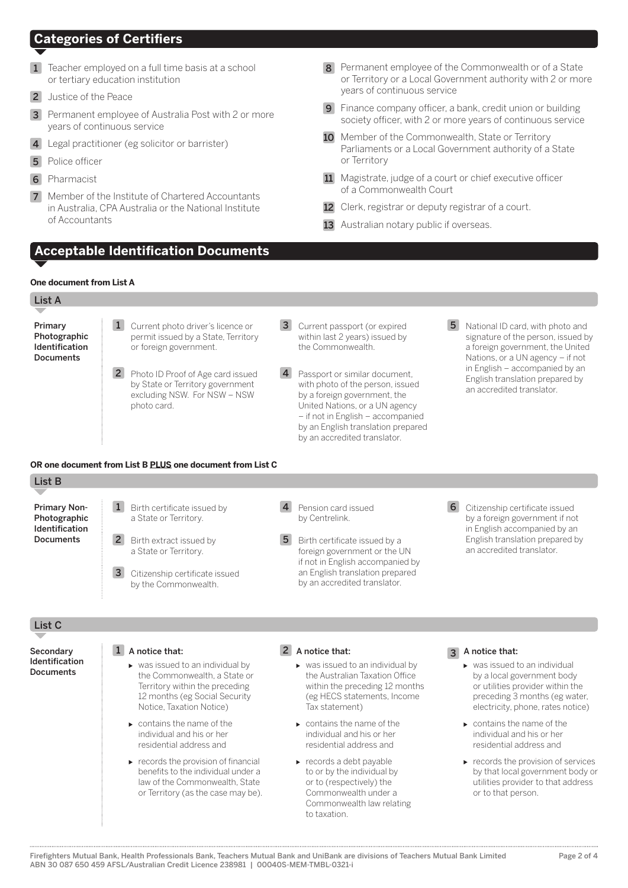# **Categories of Certifiers**

- **1** Teacher employed on a full time basis at a school or tertiary education institution
- 2 Justice of the Peace
- 3 Permanent employee of Australia Post with 2 or more years of continuous service
- 4 Legal practitioner (eg solicitor or barrister)
- **5** Police officer
- 6 Pharmacist
- 7 Member of the Institute of Chartered Accountants in Australia, CPA Australia or the National Institute of Accountants

**Acceptable Identification Documents**

- 8 Permanent employee of the Commonwealth or of a State or Territory or a Local Government authority with 2 or more years of continuous service
- 9 Finance company officer, a bank, credit union or building society officer, with 2 or more years of continuous service
- 10 Member of the Commonwealth, State or Territory Parliaments or a Local Government authority of a State or Territory
- 11 Magistrate, judge of a court or chief executive officer of a Commonwealth Court
- 12 Clerk, registrar or deputy registrar of a court.
- 13 Australian notary public if overseas.

# **One document from List A**

| List A                                                        |                                                                                                                                                                                                                                                                                                        |                                                                                                                                                                                                                                                                                |                                                                                                                                                                                                                                                                                                              |
|---------------------------------------------------------------|--------------------------------------------------------------------------------------------------------------------------------------------------------------------------------------------------------------------------------------------------------------------------------------------------------|--------------------------------------------------------------------------------------------------------------------------------------------------------------------------------------------------------------------------------------------------------------------------------|--------------------------------------------------------------------------------------------------------------------------------------------------------------------------------------------------------------------------------------------------------------------------------------------------------------|
|                                                               |                                                                                                                                                                                                                                                                                                        |                                                                                                                                                                                                                                                                                |                                                                                                                                                                                                                                                                                                              |
| Primary<br>Photographic<br>Identification<br><b>Documents</b> | $\mathbf{1}$<br>Current photo driver's licence or<br>permit issued by a State, Territory<br>or foreign government.                                                                                                                                                                                     | 3<br>Current passport (or expired<br>within last 2 years) issued by<br>the Commonwealth.                                                                                                                                                                                       | 5 <sup>5</sup><br>National ID card, with photo and<br>signature of the person, issued by<br>a foreign government, the United<br>Nations, or a UN agency - if not                                                                                                                                             |
|                                                               | 2 Photo ID Proof of Age card issued<br>by State or Territory government<br>excluding NSW. For NSW - NSW<br>photo card.                                                                                                                                                                                 | Passport or similar document.<br>with photo of the person, issued<br>by a foreign government, the<br>United Nations, or a UN agency<br>- if not in English - accompanied<br>by an English translation prepared<br>by an accredited translator.                                 | in English - accompanied by an<br>English translation prepared by<br>an accredited translator.                                                                                                                                                                                                               |
|                                                               | OR one document from List B PLUS one document from List C                                                                                                                                                                                                                                              |                                                                                                                                                                                                                                                                                |                                                                                                                                                                                                                                                                                                              |
| List B                                                        |                                                                                                                                                                                                                                                                                                        |                                                                                                                                                                                                                                                                                |                                                                                                                                                                                                                                                                                                              |
| <b>Primary Non-</b><br>Photographic                           | Birth certificate issued by<br>$\mathbf{1}$<br>a State or Territory.                                                                                                                                                                                                                                   | $\overline{4}$<br>Pension card issued<br>by Centrelink.                                                                                                                                                                                                                        | 6<br>Citizenship certificate issued<br>by a foreign government if not                                                                                                                                                                                                                                        |
| Identification<br><b>Documents</b>                            | $\overline{2}$<br>Birth extract issued by<br>a State or Territory.                                                                                                                                                                                                                                     | 5<br>Birth certificate issued by a<br>foreign government or the UN<br>if not in English accompanied by                                                                                                                                                                         | in English accompanied by an<br>English translation prepared by<br>an accredited translator.                                                                                                                                                                                                                 |
|                                                               | $\overline{3}$<br>Citizenship certificate issued<br>by the Commonwealth.                                                                                                                                                                                                                               | an English translation prepared<br>by an accredited translator.                                                                                                                                                                                                                |                                                                                                                                                                                                                                                                                                              |
| List <sub>C</sub>                                             |                                                                                                                                                                                                                                                                                                        |                                                                                                                                                                                                                                                                                |                                                                                                                                                                                                                                                                                                              |
| Secondary<br>Identification<br><b>Documents</b>               | A notice that:<br>$\mathbf{1}$<br>▶ was issued to an individual by<br>the Commonwealth, a State or<br>Territory within the preceding<br>12 months (eg Social Security<br>Notice, Taxation Notice)<br>$\triangleright$ contains the name of the<br>individual and his or her<br>residential address and | 2 A notice that:<br>▶ was issued to an individual by<br>the Australian Taxation Office<br>within the preceding 12 months<br>(eg HECS statements, Income<br>Tax statement)<br>$\triangleright$ contains the name of the<br>individual and his or her<br>residential address and | A notice that:<br>$\mathbf{3}$<br>► was issued to an individual<br>by a local government body<br>or utilities provider within the<br>preceding 3 months (eg water,<br>electricity, phone, rates notice)<br>$\triangleright$ contains the name of the<br>individual and his or her<br>residential address and |
|                                                               | $\triangleright$ records the provision of financial<br>benefits to the individual under a<br>law of the Commonwealth. State<br>or Territory (as the case may be).                                                                                                                                      | $\triangleright$ records a debt payable<br>to or by the individual by<br>or to (respectively) the<br>Commonwealth under a<br>Commonwealth law relating<br>to taxation.                                                                                                         | records the provision of services<br>by that local government body or<br>utilities provider to that address<br>or to that person.                                                                                                                                                                            |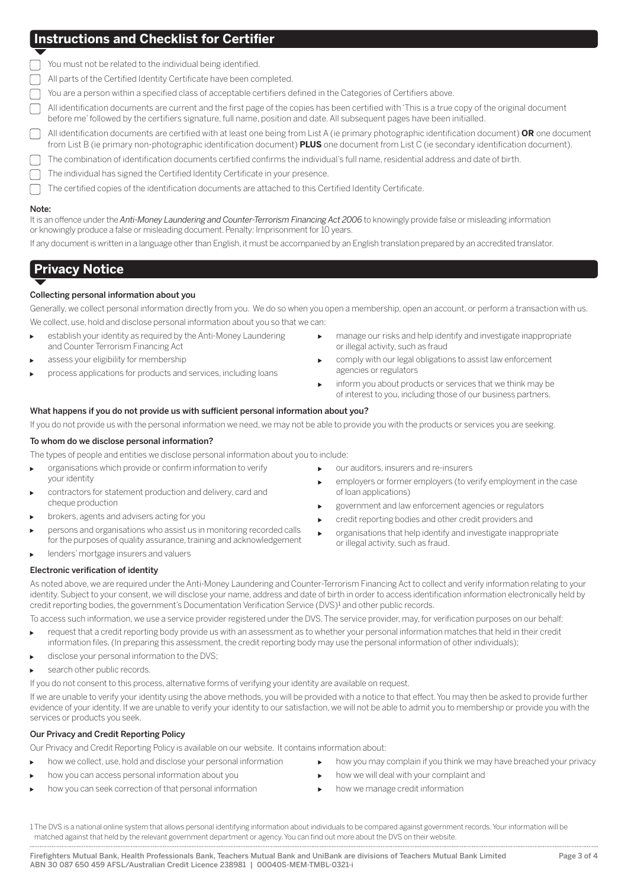# **Instructions and Checklist for Certifier**

|  |  |  |  | You must not be related to the individual being identified. |
|--|--|--|--|-------------------------------------------------------------|
|  |  |  |  |                                                             |
|  |  |  |  |                                                             |
|  |  |  |  |                                                             |

All parts of the Certified Identity Certificate have been completed.

You are a person within a specified class of acceptable certifiers defined in the Categories of Certifiers above.

- All identification documents are current and the first page of the copies has been certified with 'This is a true copy of the original document before me' followed by the certifiers signature, full name, position and date. All subsequent pages have been initialled.
- All identification documents are certified with at least one being from List A (ie primary photographic identification document) **OR** one document from List B (ie primary non-photographic identification document) **PLUS** one document from List C (ie secondary identification document).
- The combination of identification documents certified confirms the individual's full name, residential address and date of birth.
- The individual has signed the Certified Identity Certificate in your presence.
- The certified copies of the identification documents are attached to this Certified Identity Certificate.

#### Note:

It is an offence under the *Anti-Money Laundering and Counter-Terrorism Financing Act 2006* to knowingly provide false or misleading information or knowingly produce a false or misleading document. Penalty: Imprisonment for 10 years.

If any document is written in a language other than English, it must be accompanied by an English translation prepared by an accredited translator.

# **Privacy Notice**

# Collecting personal information about you

Generally, we collect personal information directly from you. We do so when you open a membership, open an account, or perform a transaction with us. We collect, use, hold and disclose personal information about you so that we can:

- establish your identity as required by the Anti-Money Laundering ĥ. and Counter Terrorism Financing Act
- assess your eligibility for membership
- process applications for products and services, including loans
- manage our risks and help identify and investigate inappropriate or illegal activity, such as fraud
- comply with our legal obligations to assist law enforcement agencies or regulators
- inform you about products or services that we think may be of interest to you, including those of our business partners.

# What happens if you do not provide us with sufficient personal information about you?

If you do not provide us with the personal information we need, we may not be able to provide you with the products or services you are seeking.

#### To whom do we disclose personal information?

The types of people and entities we disclose personal information about you to include:

- organisations which provide or confirm information to verify þ. your identity
- contractors for statement production and delivery, card and cheque production
- brokers, agents and advisers acting for you
- persons and organisations who assist us in monitoring recorded calls for the purposes of quality assurance, training and acknowledgement
- lenders' mortgage insurers and valuers
- our auditors, insurers and re-insurers  $\overline{a}$
- employers or former employers (to verify employment in the case of loan applications)
- government and law enforcement agencies or regulators
- credit reporting bodies and other credit providers and
- organisations that help identify and investigate inappropriate or illegal activity, such as fraud.

## Electronic verification of identity

As noted above, we are required under the Anti-Money Laundering and Counter-Terrorism Financing Act to collect and verify information relating to your identity. Subject to your consent, we will disclose your name, address and date of birth in order to access identification information electronically held by credit reporting bodies, the government's Documentation Verification Service (DVS)<sup>1</sup> and other public records.

To access such information, we use a service provider registered under the DVS. The service provider, may, for verification purposes on our behalf:

- request that a credit reporting body provide us with an assessment as to whether your personal information matches that held in their credit information files. (In preparing this assessment, the credit reporting body may use the personal information of other individuals);
- disclose your personal information to the DVS;
- search other public records.

If you do not consent to this process, alternative forms of verifying your identity are available on request.

If we are unable to verify your identity using the above methods, you will be provided with a notice to that effect. You may then be asked to provide further evidence of your identity. If we are unable to verify your identity to our satisfaction, we will not be able to admit you to membership or provide you with the services or products you seek.

## Our Privacy and Credit Reporting Policy

Our Privacy and Credit Reporting Policy is available on our website. It contains information about:

- how we collect, use, hold and disclose your personal information
- how you can access personal information about you
- how you can seek correction of that personal information
- how you may complain if you think we may have breached your privacy  $\mathbf{r}$
- how we will deal with your complaint and
	- how we manage credit information  $\ddot{\phantom{0}}$

1 The DVS is a national online system that allows personal identifying information about individuals to be compared against government records. Your information will be matched against that held by the relevant government department or agency. You can find out more about the DVS on their website.